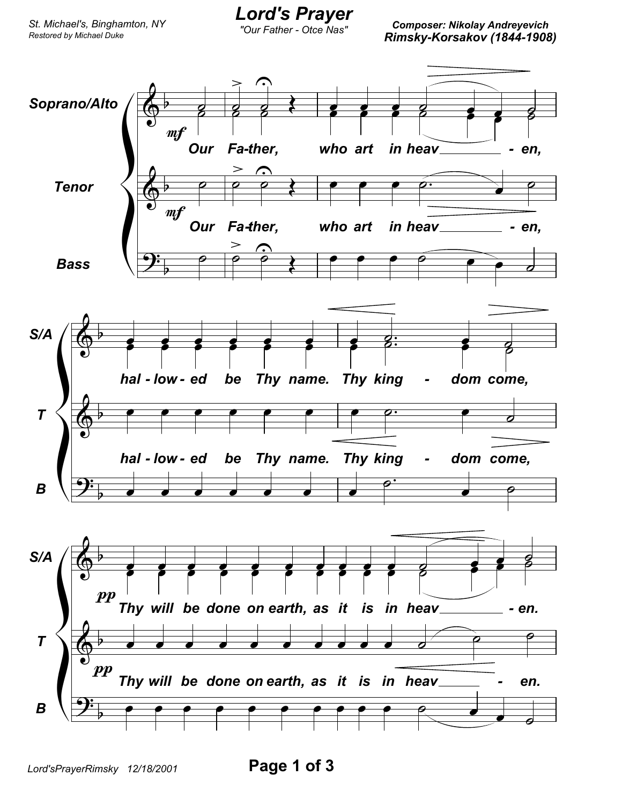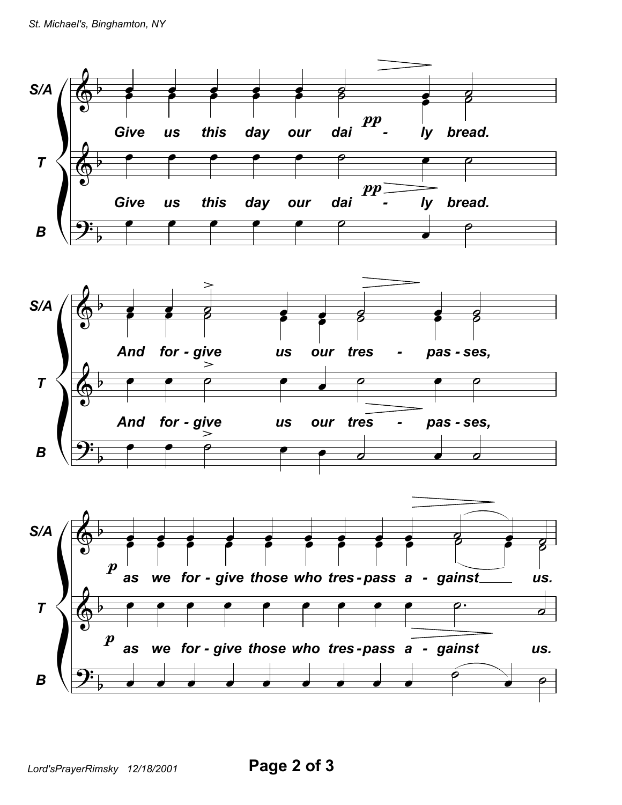